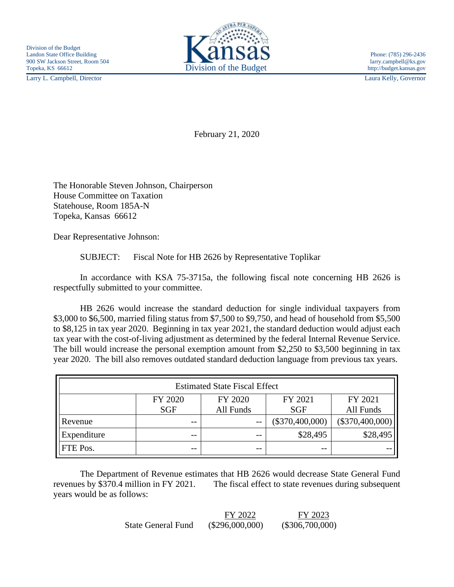Larry L. Campbell, Director Laura Kelly, Governor



February 21, 2020

The Honorable Steven Johnson, Chairperson House Committee on Taxation Statehouse, Room 185A-N Topeka, Kansas 66612

Dear Representative Johnson:

SUBJECT: Fiscal Note for HB 2626 by Representative Toplikar

In accordance with KSA 75-3715a, the following fiscal note concerning HB 2626 is respectfully submitted to your committee.

HB 2626 would increase the standard deduction for single individual taxpayers from \$3,000 to \$6,500, married filing status from \$7,500 to \$9,750, and head of household from \$5,500 to \$8,125 in tax year 2020. Beginning in tax year 2021, the standard deduction would adjust each tax year with the cost-of-living adjustment as determined by the federal Internal Revenue Service. The bill would increase the personal exemption amount from \$2,250 to \$3,500 beginning in tax year 2020. The bill also removes outdated standard deduction language from previous tax years.

| <b>Estimated State Fiscal Effect</b> |            |           |                   |                   |  |
|--------------------------------------|------------|-----------|-------------------|-------------------|--|
|                                      | FY 2020    | FY 2020   | FY 2021           | FY 2021           |  |
|                                      | <b>SGF</b> | All Funds | <b>SGF</b>        | All Funds         |  |
| Revenue                              | --         | $- -$     | $(\$370,400,000)$ | $(\$370,400,000)$ |  |
| Expenditure                          | --         |           | \$28,495          | \$28,495          |  |
| FTE Pos.                             | --         | --        | --                |                   |  |

The Department of Revenue estimates that HB 2626 would decrease State General Fund revenues by \$370.4 million in FY 2021. The fiscal effect to state revenues during subsequent years would be as follows:

|                           | FY 2022           | FY 2023           |
|---------------------------|-------------------|-------------------|
| <b>State General Fund</b> | $(\$296,000,000)$ | $(\$306,700,000)$ |